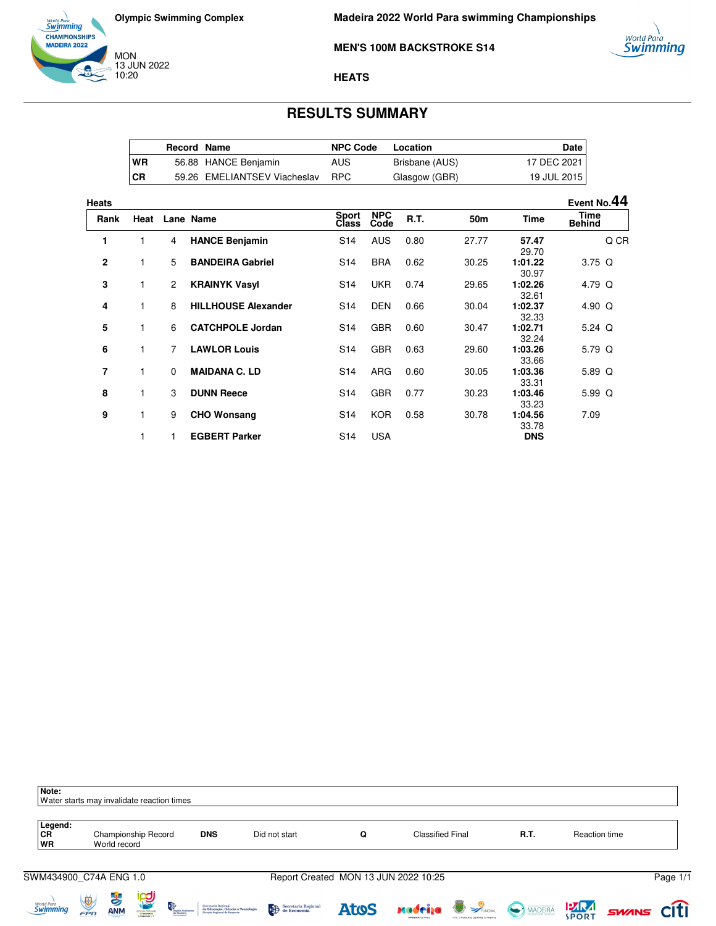

**MEN'S 100M BACKSTROKE S14**



#### **HEATS**

# **RESULTS SUMMARY**

|           | Record Name |                              | <b>NPC Code</b> | Location       | Date        |
|-----------|-------------|------------------------------|-----------------|----------------|-------------|
| <b>WR</b> |             | 56.88 HANCE Benjamin         | AUS             | Brisbane (AUS) | 17 DEC 2021 |
| CR        |             | 59.26 EMELIANTSEV Viacheslav | RPC.            | Glasgow (GBR)  | 19 JUL 2015 |

| Heats        |      |                |                            |                       |                    |      |                 |                  | Event No.44           |
|--------------|------|----------------|----------------------------|-----------------------|--------------------|------|-----------------|------------------|-----------------------|
| Rank         | Heat |                | Lane Name                  | <b>Sport</b><br>Class | <b>NPC</b><br>Code | R.T. | 50 <sub>m</sub> | <b>Time</b>      | Time<br><b>Behind</b> |
| 1            | 1    | 4              | <b>HANCE Benjamin</b>      | S <sub>14</sub>       | <b>AUS</b>         | 0.80 | 27.77           | 57.47<br>29.70   | Q CR                  |
| $\mathbf{2}$ | 1    | 5              | <b>BANDEIRA Gabriel</b>    | S <sub>14</sub>       | <b>BRA</b>         | 0.62 | 30.25           | 1:01.22<br>30.97 | $3.75$ Q              |
| 3            | 1    | $\mathbf{2}$   | <b>KRAINYK Vasyl</b>       | S <sub>14</sub>       | <b>UKR</b>         | 0.74 | 29.65           | 1:02.26<br>32.61 | 4.79 Q                |
| 4            | 1    | 8              | <b>HILLHOUSE Alexander</b> | S <sub>14</sub>       | <b>DEN</b>         | 0.66 | 30.04           | 1:02.37<br>32.33 | 4.90 $Q$              |
| 5            | 1    | 6              | <b>CATCHPOLE Jordan</b>    | S <sub>14</sub>       | <b>GBR</b>         | 0.60 | 30.47           | 1:02.71<br>32.24 | 5.24 $Q$              |
| 6            | 1    | $\overline{7}$ | <b>LAWLOR Louis</b>        | S <sub>14</sub>       | <b>GBR</b>         | 0.63 | 29.60           | 1:03.26<br>33.66 | 5.79 Q                |
| 7            | 1    | $\Omega$       | <b>MAIDANA C. LD</b>       | S <sub>14</sub>       | ARG                | 0.60 | 30.05           | 1:03.36<br>33.31 | 5.89 Q                |
| 8            | 1    | 3              | <b>DUNN Reece</b>          | S <sub>14</sub>       | <b>GBR</b>         | 0.77 | 30.23           | 1:03.46<br>33.23 | $5.99$ Q              |
| 9            | 1    | 9              | <b>CHO Wonsang</b>         | S <sub>14</sub>       | <b>KOR</b>         | 0.58 | 30.78           | 1:04.56<br>33.78 | 7.09                  |
|              | 1    |                | <b>EGBERT Parker</b>       | S <sub>14</sub>       | <b>USA</b>         |      |                 | <b>DNS</b>       |                       |

| Note:                         | Water starts may invalidate reaction times                                                                          |                                                                                          |                     |                                      |                         |                                           |              |               |             |
|-------------------------------|---------------------------------------------------------------------------------------------------------------------|------------------------------------------------------------------------------------------|---------------------|--------------------------------------|-------------------------|-------------------------------------------|--------------|---------------|-------------|
| Legend:<br><b>CR</b><br>WR    | Championship Record<br>World record                                                                                 | <b>DNS</b>                                                                               | Did not start       | Q                                    | <b>Classified Final</b> |                                           | R.T.         | Reaction time |             |
|                               | SWM434900 C74A ENG 1.0                                                                                              |                                                                                          |                     | Report Created MON 13 JUN 2022 10:25 |                         |                                           |              |               | Page 1/1    |
| World Para<br><b>Swimming</b> | <b>PU</b><br>$\frac{1}{2}$<br>$\bigcirc$<br>Positio Autónoma<br>da Madeira<br><b>ANM</b><br>NSTEED PORTUGUES<br>FPN | Secretaria Regional<br>de Educação, Ciência e Tecnologia<br>Directo Regional de Desporte | Secretaria Regional | <b>Atos</b>                          | <u>xadrija</u>          | <b>B</b><br>FOR O FUNCHAL SEMPRE À FRENTE | MADEIRA PART | SWANS         | <b>CITI</b> |